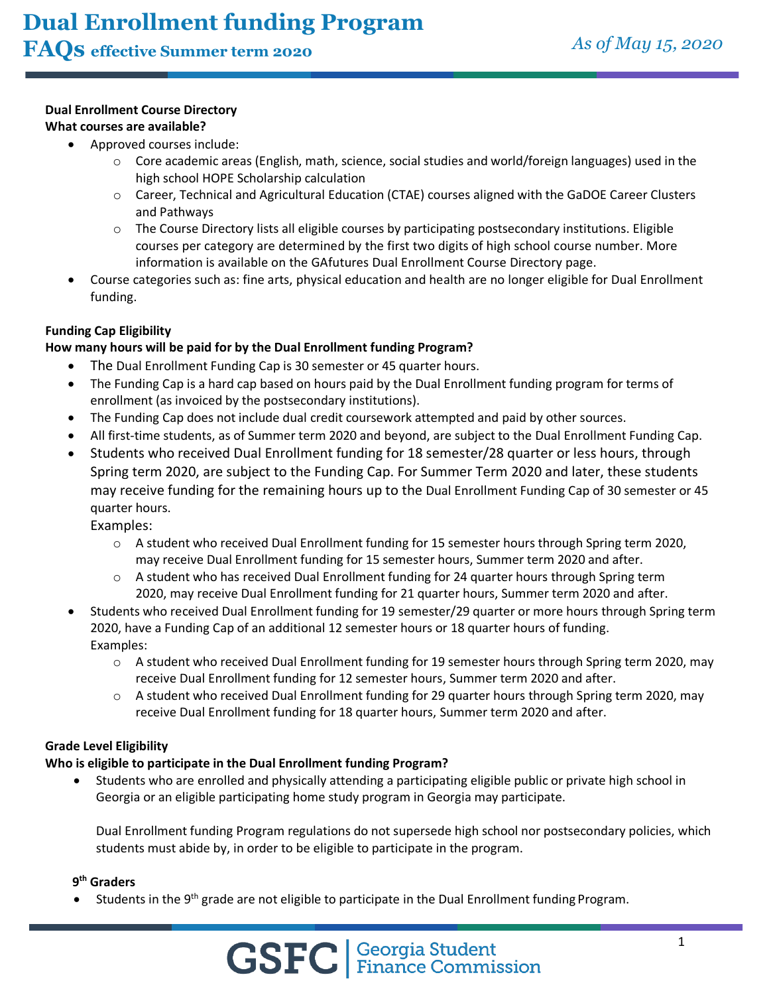## **Dual Enrollment Course Directory**

## **What courses are available?**

- Approved courses include:
	- $\circ$  Core academic areas (English, math, science, social studies and world/foreign languages) used in the high school HOPE Scholarship calculation
	- o Career, Technical and Agricultural Education (CTAE) courses aligned with the GaDOE Career Clusters and Pathways
	- $\circ$  The Course Directory lists all eligible courses by participating postsecondary institutions. Eligible courses per category are determined by the first two digits of high school course number. More information is available on the GAfutures Dual Enrollment Course Directory page.
- Course categories such as: fine arts, physical education and health are no longer eligible for Dual Enrollment funding.

## **Funding Cap Eligibility**

#### **How many hours will be paid for by the Dual Enrollment funding Program?**

- The Dual Enrollment Funding Cap is 30 semester or 45 quarter hours.
- The Funding Cap is a hard cap based on hours paid by the Dual Enrollment funding program for terms of enrollment (as invoiced by the postsecondary institutions).
- The Funding Cap does not include dual credit coursework attempted and paid by other sources.
- All first-time students, as of Summer term 2020 and beyond, are subject to the Dual Enrollment Funding Cap.
- Students who received Dual Enrollment funding for 18 semester/28 quarter or less hours, through Spring term 2020, are subject to the Funding Cap. For Summer Term 2020 and later, these students may receive funding for the remaining hours up to the Dual Enrollment Funding Cap of 30 semester or 45 quarter hours.

Examples:

- $\circ$  A student who received Dual Enrollment funding for 15 semester hours through Spring term 2020, may receive Dual Enrollment funding for 15 semester hours, Summer term 2020 and after.
- $\circ$  A student who has received Dual Enrollment funding for 24 quarter hours through Spring term 2020, may receive Dual Enrollment funding for 21 quarter hours, Summer term 2020 and after.
- Students who received Dual Enrollment funding for 19 semester/29 quarter or more hours through Spring term 2020, have a Funding Cap of an additional 12 semester hours or 18 quarter hours of funding. Examples:
	- o A student who received Dual Enrollment funding for 19 semester hours through Spring term 2020, may receive Dual Enrollment funding for 12 semester hours, Summer term 2020 and after.
	- o A student who received Dual Enrollment funding for 29 quarter hours through Spring term 2020, may receive Dual Enrollment funding for 18 quarter hours, Summer term 2020 and after.

#### **Grade Level Eligibility**

## **Who is eligible to participate in the Dual Enrollment funding Program?**

• Students who are enrolled and physically attending a participating eligible public or private high school in Georgia or an eligible participating home study program in Georgia may participate.

Dual Enrollment funding Program regulations do not supersede high school nor postsecondary policies, which students must abide by, in order to be eligible to participate in the program.

## **9th Graders**

Students in the 9<sup>th</sup> grade are not eligible to participate in the Dual Enrollment funding Program.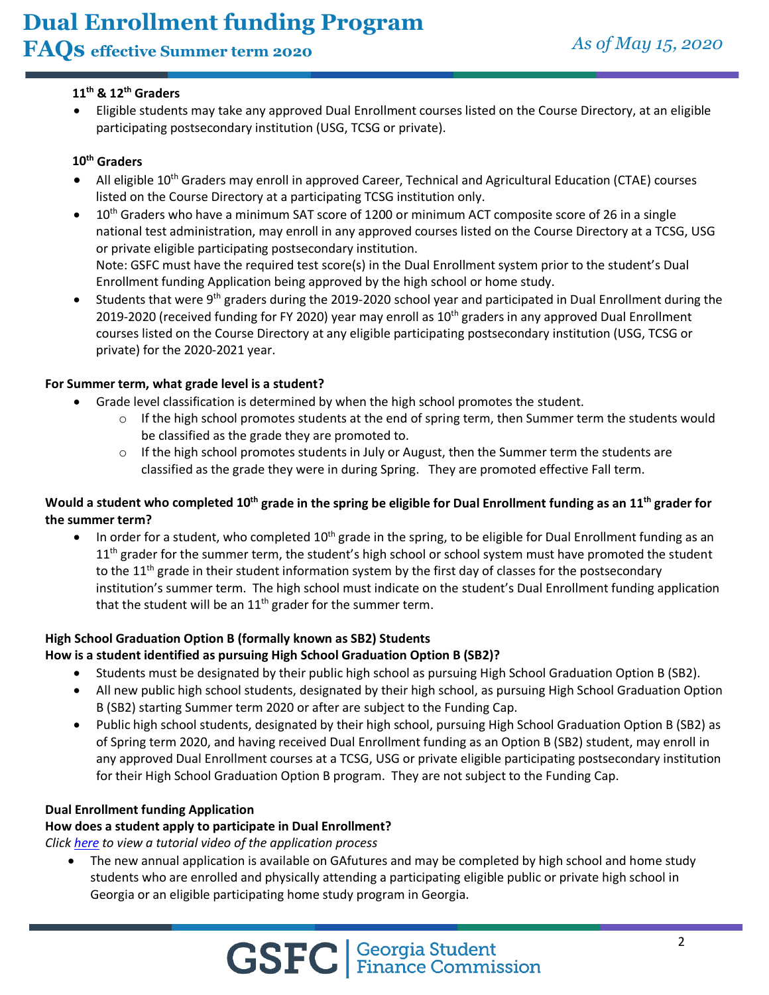# **Dual Enrollment funding Program**

## **FAQs effective Summer term 2020** *As of May 15, <sup>2020</sup>*

## **11th & 12th Graders**

• Eligible students may take any approved Dual Enrollment courses listed on the Course Directory, at an eligible participating postsecondary institution (USG, TCSG or private).

## **10th Graders**

- All eligible 10<sup>th</sup> Graders may enroll in approved Career, Technical and Agricultural Education (CTAE) courses listed on the Course Directory at a participating TCSG institution only.
- 10<sup>th</sup> Graders who have a minimum SAT score of 1200 or minimum ACT composite score of 26 in a single national test administration, may enroll in any approved courses listed on the Course Directory at a TCSG, USG or private eligible participating postsecondary institution. Note: GSFC must have the required test score(s) in the Dual Enrollment system prior to the student's Dual Enrollment funding Application being approved by the high school or home study.
- Students that were 9<sup>th</sup> graders during the 2019-2020 school year and participated in Dual Enrollment during the 2019-2020 (received funding for FY 2020) year may enroll as 10<sup>th</sup> graders in any approved Dual Enrollment courses listed on the Course Directory at any eligible participating postsecondary institution (USG, TCSG or private) for the 2020-2021 year.

## **For Summer term, what grade level is a student?**

- Grade level classification is determined by when the high school promotes the student.
	- $\circ$  If the high school promotes students at the end of spring term, then Summer term the students would be classified as the grade they are promoted to.
	- $\circ$  If the high school promotes students in July or August, then the Summer term the students are classified as the grade they were in during Spring. They are promoted effective Fall term.

## **Would a student who completed 10th grade in the spring be eligible for Dual Enrollment funding as an 11th grader for the summer term?**

• In order for a student, who completed 10<sup>th</sup> grade in the spring, to be eligible for Dual Enrollment funding as an  $11<sup>th</sup>$  grader for the summer term, the student's high school or school system must have promoted the student to the 11<sup>th</sup> grade in their student information system by the first day of classes for the postsecondary institution's summer term. The high school must indicate on the student's Dual Enrollment funding application that the student will be an  $11<sup>th</sup>$  grader for the summer term.

## **High School Graduation Option B (formally known as SB2) Students**

## **How is a student identified as pursuing High School Graduation Option B (SB2)?**

- Students must be designated by their public high school as pursuing High School Graduation Option B (SB2).
- All new public high school students, designated by their high school, as pursuing High School Graduation Option B (SB2) starting Summer term 2020 or after are subject to the Funding Cap.
- Public high school students, designated by their high school, pursuing High School Graduation Option B (SB2) as of Spring term 2020, and having received Dual Enrollment funding as an Option B (SB2) student, may enroll in any approved Dual Enrollment courses at a TCSG, USG or private eligible participating postsecondary institution for their High School Graduation Option B program. They are not subject to the Funding Cap.

## **Dual Enrollment funding Application**

## **How does a student apply to participate in Dual Enrollment?**

*Click [here](https://www.youtube.com/watch?v=-UoBFlfsNSU&feature=youtu.be) to view a tutorial video of the application process*

• The new annual application is available on GAfutures and may be completed by high school and home study students who are enrolled and physically attending a participating eligible public or private high school in Georgia or an eligible participating home study program in Georgia.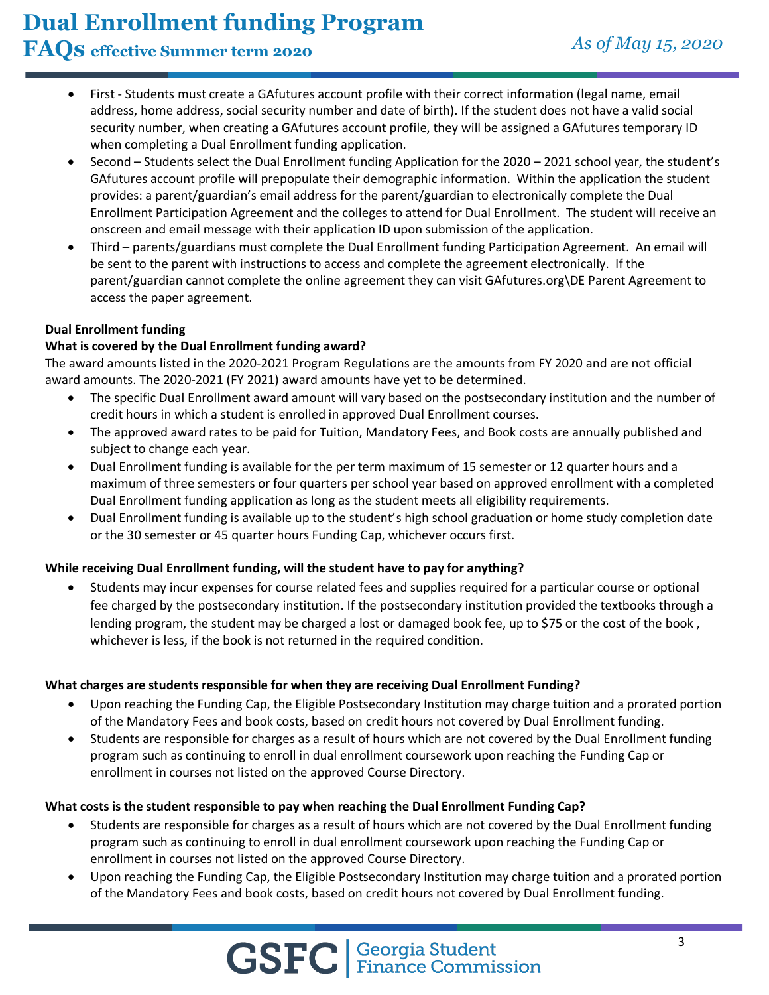# **Dual Enrollment funding Program**

## **FAQs effective Summer term 2020** *As of May 15, <sup>2020</sup>*

- First Students must create a GAfutures account profile with their correct information (legal name, email address, home address, social security number and date of birth). If the student does not have a valid social security number, when creating a GAfutures account profile, they will be assigned a GAfutures temporary ID when completing a Dual Enrollment funding application.
- Second Students select the Dual Enrollment funding Application for the 2020 2021 school year, the student's GAfutures account profile will prepopulate their demographic information. Within the application the student provides: a parent/guardian's email address for the parent/guardian to electronically complete the Dual Enrollment Participation Agreement and the colleges to attend for Dual Enrollment. The student will receive an onscreen and email message with their application ID upon submission of the application.
- Third parents/guardians must complete the Dual Enrollment funding Participation Agreement. An email will be sent to the parent with instructions to access and complete the agreement electronically. If the parent/guardian cannot complete the online agreement they can visit GAfutures.org\DE Parent Agreement to access the paper agreement.

## **Dual Enrollment funding**

## **What is covered by the Dual Enrollment funding award?**

The award amounts listed in the 2020-2021 Program Regulations are the amounts from FY 2020 and are not official award amounts. The 2020-2021 (FY 2021) award amounts have yet to be determined.

- The specific Dual Enrollment award amount will vary based on the postsecondary institution and the number of credit hours in which a student is enrolled in approved Dual Enrollment courses.
- The approved award rates to be paid for Tuition, Mandatory Fees, and Book costs are annually published and subject to change each year.
- Dual Enrollment funding is available for the per term maximum of 15 semester or 12 quarter hours and a maximum of three semesters or four quarters per school year based on approved enrollment with a completed Dual Enrollment funding application as long as the student meets all eligibility requirements.
- Dual Enrollment funding is available up to the student's high school graduation or home study completion date or the 30 semester or 45 quarter hours Funding Cap, whichever occurs first.

## **While receiving Dual Enrollment funding, will the student have to pay for anything?**

• Students may incur expenses for course related fees and supplies required for a particular course or optional fee charged by the postsecondary institution. If the postsecondary institution provided the textbooks through a lending program, the student may be charged a lost or damaged book fee, up to \$75 or the cost of the book , whichever is less, if the book is not returned in the required condition.

## **What charges are students responsible for when they are receiving Dual Enrollment Funding?**

- Upon reaching the Funding Cap, the Eligible Postsecondary Institution may charge tuition and a prorated portion of the Mandatory Fees and book costs, based on credit hours not covered by Dual Enrollment funding.
- Students are responsible for charges as a result of hours which are not covered by the Dual Enrollment funding program such as continuing to enroll in dual enrollment coursework upon reaching the Funding Cap or enrollment in courses not listed on the approved Course Directory.

## **What costs is the student responsible to pay when reaching the Dual Enrollment Funding Cap?**

- Students are responsible for charges as a result of hours which are not covered by the Dual Enrollment funding program such as continuing to enroll in dual enrollment coursework upon reaching the Funding Cap or enrollment in courses not listed on the approved Course Directory.
- Upon reaching the Funding Cap, the Eligible Postsecondary Institution may charge tuition and a prorated portion of the Mandatory Fees and book costs, based on credit hours not covered by Dual Enrollment funding.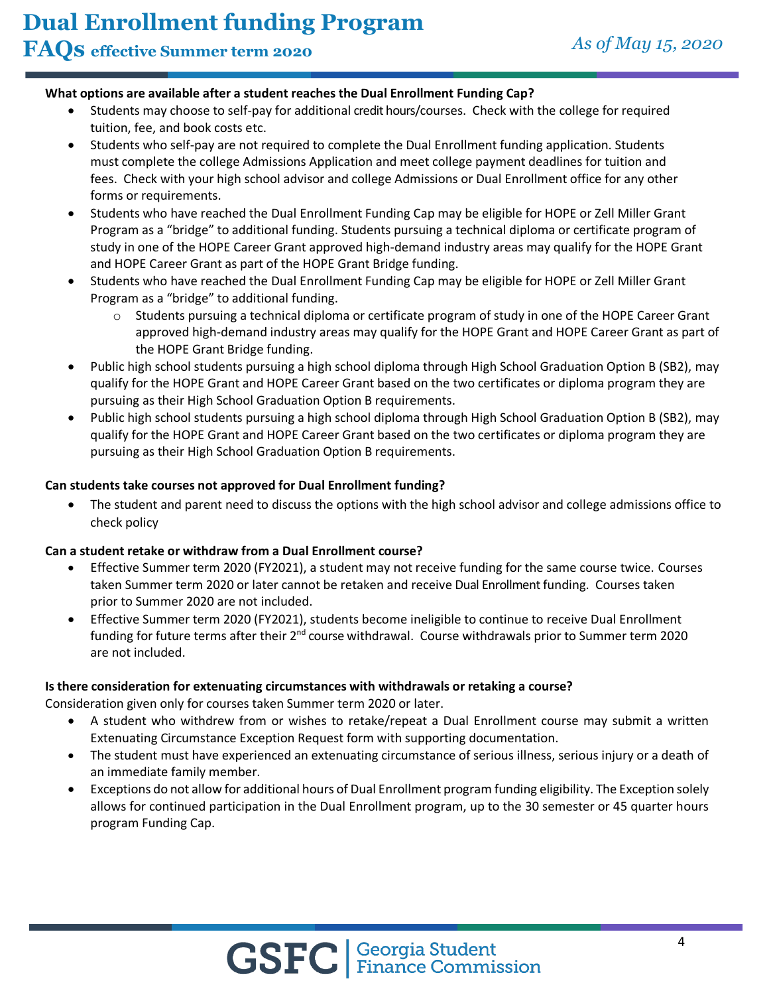## **What options are available after a student reaches the Dual Enrollment Funding Cap?**

- Students may choose to self-pay for additional credit hours/courses. Check with the college for required tuition, fee, and book costs etc.
- Students who self-pay are not required to complete the Dual Enrollment funding application. Students must complete the college Admissions Application and meet college payment deadlines for tuition and fees. Check with your high school advisor and college Admissions or Dual Enrollment office for any other forms or requirements.
- Students who have reached the Dual Enrollment Funding Cap may be eligible for HOPE or Zell Miller Grant Program as a "bridge" to additional funding. Students pursuing a technical diploma or certificate program of study in one of the HOPE Career Grant approved high-demand industry areas may qualify for the HOPE Grant and HOPE Career Grant as part of the HOPE Grant Bridge funding.
- Students who have reached the Dual Enrollment Funding Cap may be eligible for HOPE or Zell Miller Grant Program as a "bridge" to additional funding.
	- Students pursuing a technical diploma or certificate program of study in one of the HOPE Career Grant approved high-demand industry areas may qualify for the HOPE Grant and HOPE Career Grant as part of the HOPE Grant Bridge funding.
- Public high school students pursuing a high school diploma through High School Graduation Option B (SB2), may qualify for the HOPE Grant and HOPE Career Grant based on the two certificates or diploma program they are pursuing as their High School Graduation Option B requirements.
- Public high school students pursuing a high school diploma through High School Graduation Option B (SB2), may qualify for the HOPE Grant and HOPE Career Grant based on the two certificates or diploma program they are pursuing as their High School Graduation Option B requirements.

#### **Can students take courses not approved for Dual Enrollment funding?**

• The student and parent need to discuss the options with the high school advisor and college admissions office to check policy

#### **Can a student retake or withdraw from a Dual Enrollment course?**

- Effective Summer term 2020 (FY2021), a student may not receive funding for the same course twice. Courses taken Summer term 2020 or later cannot be retaken and receive Dual Enrollment funding. Courses taken prior to Summer 2020 are not included.
- Effective Summer term 2020 (FY2021), students become ineligible to continue to receive Dual Enrollment funding for future terms after their 2<sup>nd</sup> course withdrawal. Course withdrawals prior to Summer term 2020 are not included.

#### **Is there consideration for extenuating circumstances with withdrawals or retaking a course?**

Consideration given only for courses taken Summer term 2020 or later.

- A student who withdrew from or wishes to retake/repeat a Dual Enrollment course may submit a written Extenuating Circumstance Exception Request form with supporting documentation.
- The student must have experienced an extenuating circumstance of serious illness, serious injury or a death of an immediate family member.
- Exceptions do not allow for additional hours of Dual Enrollment program funding eligibility. The Exception solely allows for continued participation in the Dual Enrollment program, up to the 30 semester or 45 quarter hours program Funding Cap.